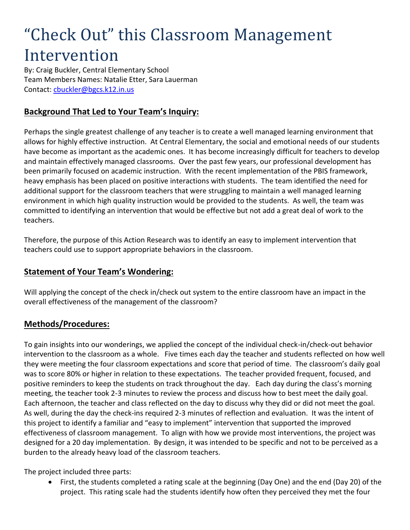# "Check Out" this Classroom Management Intervention

By: Craig Buckler, Central Elementary School Team Members Names: Natalie Etter, Sara Lauerman Contact:<cbuckler@bgcs.k12.in.us>

## **Background That Led to Your Team's Inquiry:**

Perhaps the single greatest challenge of any teacher is to create a well managed learning environment that allows for highly effective instruction. At Central Elementary, the social and emotional needs of our students have become as important as the academic ones. It has become increasingly difficult for teachers to develop and maintain effectively managed classrooms. Over the past few years, our professional development has been primarily focused on academic instruction. With the recent implementation of the PBIS framework, heavy emphasis has been placed on positive interactions with students. The team identified the need for additional support for the classroom teachers that were struggling to maintain a well managed learning environment in which high quality instruction would be provided to the students. As well, the team was committed to identifying an intervention that would be effective but not add a great deal of work to the teachers.

Therefore, the purpose of this Action Research was to identify an easy to implement intervention that teachers could use to support appropriate behaviors in the classroom.

#### **Statement of Your Team's Wondering:**

Will applying the concept of the check in/check out system to the entire classroom have an impact in the overall effectiveness of the management of the classroom?

#### **Methods/Procedures:**

To gain insights into our wonderings, we applied the concept of the individual check-in/check-out behavior intervention to the classroom as a whole. Five times each day the teacher and students reflected on how well they were meeting the four classroom expectations and score that period of time. The classroom's daily goal was to score 80% or higher in relation to these expectations. The teacher provided frequent, focused, and positive reminders to keep the students on track throughout the day. Each day during the class's morning meeting, the teacher took 2-3 minutes to review the process and discuss how to best meet the daily goal. Each afternoon, the teacher and class reflected on the day to discuss why they did or did not meet the goal. As well, during the day the check-ins required 2-3 minutes of reflection and evaluation. It was the intent of this project to identify a familiar and "easy to implement" intervention that supported the improved effectiveness of classroom management. To align with how we provide most interventions, the project was designed for a 20 day implementation. By design, it was intended to be specific and not to be perceived as a burden to the already heavy load of the classroom teachers.

The project included three parts:

 First, the students completed a rating scale at the beginning (Day One) and the end (Day 20) of the project. This rating scale had the students identify how often they perceived they met the four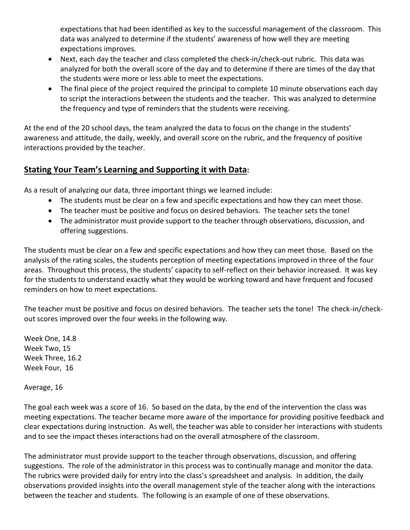expectations that had been identified as key to the successful management of the classroom. This data was analyzed to determine if the students' awareness of how well they are meeting expectations improves.

- Next, each day the teacher and class completed the check-in/check-out rubric. This data was analyzed for both the overall score of the day and to determine if there are times of the day that the students were more or less able to meet the expectations.
- The final piece of the project required the principal to complete 10 minute observations each day to script the interactions between the students and the teacher. This was analyzed to determine the frequency and type of reminders that the students were receiving.

At the end of the 20 school days, the team analyzed the data to focus on the change in the students' awareness and attitude, the daily, weekly, and overall score on the rubric, and the frequency of positive interactions provided by the teacher.

## **Stating Your Team's Learning and Supporting it with Data:**

As a result of analyzing our data, three important things we learned include:

- The students must be clear on a few and specific expectations and how they can meet those.
- The teacher must be positive and focus on desired behaviors. The teacher sets the tone!
- The administrator must provide support to the teacher through observations, discussion, and offering suggestions.

The students must be clear on a few and specific expectations and how they can meet those. Based on the analysis of the rating scales, the students perception of meeting expectations improved in three of the four areas. Throughout this process, the students' capacity to self-reflect on their behavior increased. It was key for the students to understand exactly what they would be working toward and have frequent and focused reminders on how to meet expectations.

The teacher must be positive and focus on desired behaviors. The teacher sets the tone! The check-in/checkout scores improved over the four weeks in the following way.

Week One, 14.8 Week Two, 15 Week Three, 16.2 Week Four, 16

Average, 16

The goal each week was a score of 16. So based on the data, by the end of the intervention the class was meeting expectations. The teacher became more aware of the importance for providing positive feedback and clear expectations during instruction. As well, the teacher was able to consider her interactions with students and to see the impact theses interactions had on the overall atmosphere of the classroom.

The administrator must provide support to the teacher through observations, discussion, and offering suggestions. The role of the administrator in this process was to continually manage and monitor the data. The rubrics were provided daily for entry into the class's spreadsheet and analysis. In addition, the daily observations provided insights into the overall management style of the teacher along with the interactions between the teacher and students. The following is an example of one of these observations.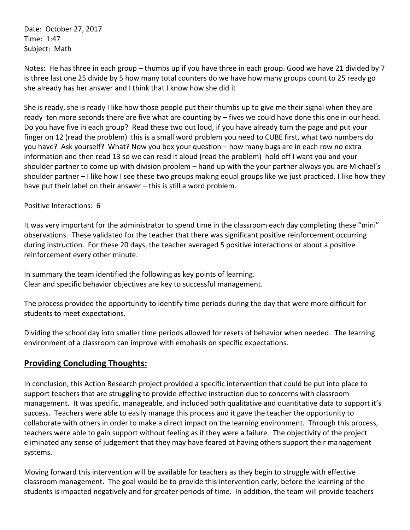Date: October 27, 2017 Time: 1:47 Subject: Math

Notes: He has three in each group – thumbs up if you have three in each group. Good we have 21 divided by 7 is three last one 25 divide by 5 how many total counters do we have how many groups count to 25 ready go she already has her answer and I think that I know how she did it

She is ready, she is ready I like how those people put their thumbs up to give me their signal when they are ready ten more seconds there are five what are counting by – fives we could have done this one in our head. Do you have five in each group? Read these two out loud, if you have already turn the page and put your finger on 12 (read the problem) this is a small word problem you need to CUBE first, what two numbers do you have? Ask yourself? What? Now you box your question – how many bugs are in each row no extra information and then read 13 so we can read it aloud (read the problem) hold off I want you and your shoulder partner to come up with division problem – hand up with the your partner always you are Michael's shoulder partner – I like how I see these two groups making equal groups like we just practiced. I like how they have put their label on their answer – this is still a word problem.

Positive Interactions: 6

It was very important for the administrator to spend time in the classroom each day completing these "mini" observations. These validated for the teacher that there was significant positive reinforcement occurring during instruction. For these 20 days, the teacher averaged 5 positive interactions or about a positive reinforcement every other minute.

In summary the team identified the following as key points of learning. Clear and specific behavior objectives are key to successful management.

The process provided the opportunity to identify time periods during the day that were more difficult for students to meet expectations.

Dividing the school day into smaller time periods allowed for resets of behavior when needed. The learning environment of a classroom can improve with emphasis on specific expectations.

## **Providing Concluding Thoughts:**

In conclusion, this Action Research project provided a specific intervention that could be put into place to support teachers that are struggling to provide effective instruction due to concerns with classroom management. It was specific, manageable, and included both qualitative and quantitative data to support it's success. Teachers were able to easily manage this process and it gave the teacher the opportunity to collaborate with others in order to make a direct impact on the learning environment. Through this process, teachers were able to gain support without feeling as if they were a failure. The objectivity of the project eliminated any sense of judgement that they may have feared at having others support their management systems.

Moving forward this intervention will be available for teachers as they begin to struggle with effective classroom management. The goal would be to provide this intervention early, before the learning of the students is impacted negatively and for greater periods of time. In addition, the team will provide teachers